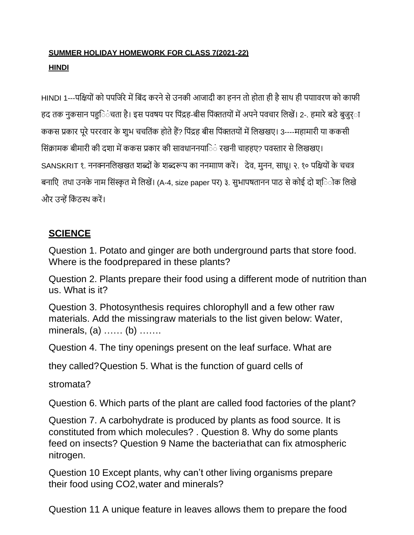### **SUMMER HOLIDAY HOMEWORK FOR CLASS 7(2021-22) HINDI**

HINDI 1---पक्षियों को पपजिरे में बिंद करने से उनकी आजादी का हनन तो होता ही है साथ ही पयाावरण को काफी हद तक नुकसान पहुिंचता है। इस पवषय पर पिंद्रह-बीस पिंक्ततयों में अपने पवचार लिखें। 2-. हमारे बड़े बुजुर्ा ककस प्रकार पूरे पररवार के शुभ चचतिंक होते हैं? पिंद्रह बीस पिंक्ततयों में लिखखए। 3----महामारी या ककसी सिंक्रामक बीमारी की दशा में ककस प्रकार की सावधाननयािं रखनी चाहहए? पवस्तार से लिखखए। SANSKRIT १. ननक्ननलिखखत शब्दों के शब्दरूप का ननमााण करें। देव, मुनन, साधू। २. १० पक्षियों के चचत्र बनाएि तथा उनके नाम सिंस्कृत मे लिखें। (A-4, size paper पर) ३. सुभापषतानन पाठ से कोई दो श्िोक लिखे और उन्हें किंठस्थ करें।

### **SCIENCE**

Question 1. Potato and ginger are both underground parts that store food. Where is the foodprepared in these plants?

Question 2. Plants prepare their food using a different mode of nutrition than us. What is it?

Question 3. Photosynthesis requires chlorophyll and a few other raw materials. Add the missingraw materials to the list given below: Water, minerals, (a) …… (b) …….

Question 4. The tiny openings present on the leaf surface. What are

they called?Question 5. What is the function of guard cells of

stromata?

Question 6. Which parts of the plant are called food factories of the plant?

Question 7. A carbohydrate is produced by plants as food source. It is constituted from which molecules? . Question 8. Why do some plants feed on insects? Question 9 Name the bacteriathat can fix atmospheric nitrogen.

Question 10 Except plants, why can't other living organisms prepare their food using CO2,water and minerals?

Question 11 A unique feature in leaves allows them to prepare the food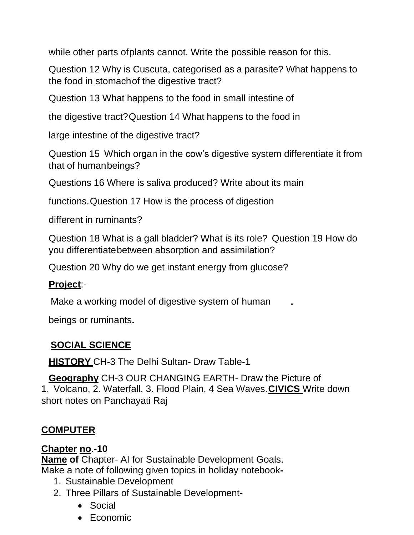while other parts of plants cannot. Write the possible reason for this.

Question 12 Why is Cuscuta, categorised as a parasite? What happens to the food in stomachof the digestive tract?

Question 13 What happens to the food in small intestine of

the digestive tract?Question 14 What happens to the food in

large intestine of the digestive tract?

Question 15 Which organ in the cow's digestive system differentiate it from that of humanbeings?

Questions 16 Where is saliva produced? Write about its main

functions.Question 17 How is the process of digestion

different in ruminants?

Question 18 What is a gall bladder? What is its role? Question 19 How do you differentiatebetween absorption and assimilation?

Question 20 Why do we get instant energy from glucose?

#### **Project**:-

Make a working model of digestive system of human

beings or ruminants**.**

### **SOCIAL SCIENCE**

**HISTORY** CH-3 The Delhi Sultan- Draw Table-1

**Geography** CH-3 OUR CHANGING EARTH- Draw the Picture of 1. Volcano, 2. Waterfall, 3. Flood Plain, 4 Sea Waves.**CIVICS** Write down short notes on Panchayati Raj

### **COMPUTER**

### **Chapter no**.-**10**

**Name of** Chapter- AI for Sustainable Development Goals. Make a note of following given topics in holiday notebook**-**

- 1. Sustainable Development
- 2. Three Pillars of Sustainable Development-
	- Social
	- Economic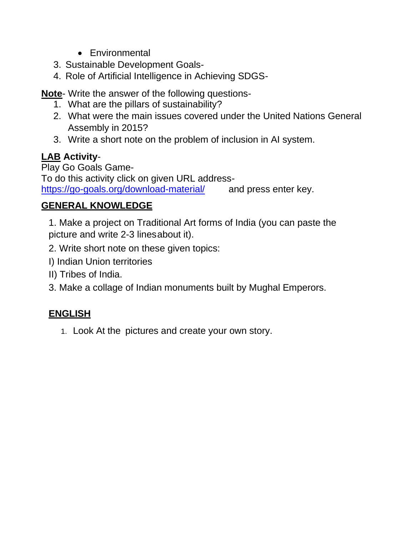- Environmental
- 3. Sustainable Development Goals-
- 4. Role of Artificial Intelligence in Achieving SDGS-

**Note**- Write the answer of the following questions-

- 1. What are the pillars of sustainability?
- 2. What were the main issues covered under the United Nations General Assembly in 2015?
- 3. Write a short note on the problem of inclusion in AI system.

# **LAB Activity**-

Play Go Goals Game-To do this activity click on given URL address<https://go-goals.org/download-material/> and press enter key.

### **GENERAL KNOWLEDGE**

1. Make a project on Traditional Art forms of India (you can paste the picture and write 2-3 linesabout it).

- 2. Write short note on these given topics:
- I) Indian Union territories
- II) Tribes of India.
- 3. Make a collage of Indian monuments built by Mughal Emperors.

## **ENGLISH**

1. Look At the pictures and create your own story.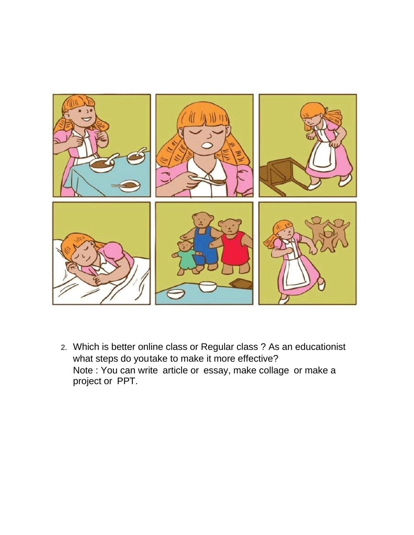

2. Which is better online class or Regular class ? As an educationist what steps do youtake to make it more effective? Note : You can write article or essay, make collage or make a project or PPT.